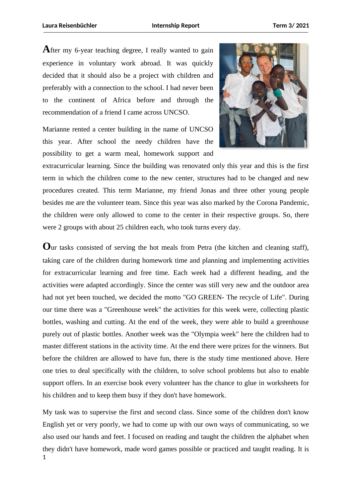**A**fter my 6-year teaching degree, I really wanted to gain experience in voluntary work abroad. It was quickly decided that it should also be a project with children and preferably with a connection to the school. I had never been to the continent of Africa before and through the recommendation of a friend I came across UNCSO.

Marianne rented a center building in the name of UNCSO this year. After school the needy children have the possibility to get a warm meal, homework support and



extracurricular learning. Since the building was renovated only this year and this is the first term in which the children come to the new center, structures had to be changed and new procedures created. This term Marianne, my friend Jonas and three other young people besides me are the volunteer team. Since this year was also marked by the Corona Pandemic, the children were only allowed to come to the center in their respective groups. So, there were 2 groups with about 25 children each, who took turns every day.

**O**ur tasks consisted of serving the hot meals from Petra (the kitchen and cleaning staff), taking care of the children during homework time and planning and implementing activities for extracurricular learning and free time. Each week had a different heading, and the activities were adapted accordingly. Since the center was still very new and the outdoor area had not yet been touched, we decided the motto "GO GREEN- The recycle of Life". During our time there was a "Greenhouse week" the activities for this week were, collecting plastic bottles, washing and cutting. At the end of the week, they were able to build a greenhouse purely out of plastic bottles. Another week was the "Olympia week" here the children had to master different stations in the activity time. At the end there were prizes for the winners. But before the children are allowed to have fun, there is the study time mentioned above. Here one tries to deal specifically with the children, to solve school problems but also to enable support offers. In an exercise book every volunteer has the chance to glue in worksheets for his children and to keep them busy if they don't have homework.

My task was to supervise the first and second class. Since some of the children don't know English yet or very poorly, we had to come up with our own ways of communicating, so we also used our hands and feet. I focused on reading and taught the children the alphabet when they didn't have homework, made word games possible or practiced and taught reading. It is 1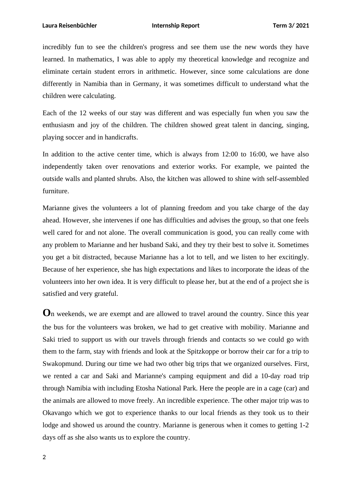incredibly fun to see the children's progress and see them use the new words they have learned. In mathematics, I was able to apply my theoretical knowledge and recognize and eliminate certain student errors in arithmetic. However, since some calculations are done differently in Namibia than in Germany, it was sometimes difficult to understand what the children were calculating.

Each of the 12 weeks of our stay was different and was especially fun when you saw the enthusiasm and joy of the children. The children showed great talent in dancing, singing, playing soccer and in handicrafts.

In addition to the active center time, which is always from 12:00 to 16:00, we have also independently taken over renovations and exterior works. For example, we painted the outside walls and planted shrubs. Also, the kitchen was allowed to shine with self-assembled furniture.

Marianne gives the volunteers a lot of planning freedom and you take charge of the day ahead. However, she intervenes if one has difficulties and advises the group, so that one feels well cared for and not alone. The overall communication is good, you can really come with any problem to Marianne and her husband Saki, and they try their best to solve it. Sometimes you get a bit distracted, because Marianne has a lot to tell, and we listen to her excitingly. Because of her experience, she has high expectations and likes to incorporate the ideas of the volunteers into her own idea. It is very difficult to please her, but at the end of a project she is satisfied and very grateful.

**O**n weekends, we are exempt and are allowed to travel around the country. Since this year the bus for the volunteers was broken, we had to get creative with mobility. Marianne and Saki tried to support us with our travels through friends and contacts so we could go with them to the farm, stay with friends and look at the Spitzkoppe or borrow their car for a trip to Swakopmund. During our time we had two other big trips that we organized ourselves. First, we rented a car and Saki and Marianne's camping equipment and did a 10-day road trip through Namibia with including Etosha National Park. Here the people are in a cage (car) and the animals are allowed to move freely. An incredible experience. The other major trip was to Okavango which we got to experience thanks to our local friends as they took us to their lodge and showed us around the country. Marianne is generous when it comes to getting 1-2 days off as she also wants us to explore the country.